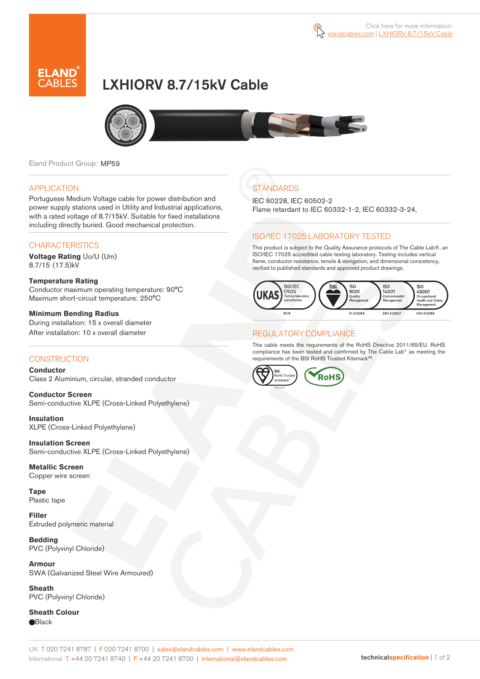

# LXHIORV 8.7/15kV Cable



Eland Product Group: MP59

### APPLICATION

Portuguese Medium Voltage cable for power distribution and power supply stations used in Utility and Industrial applications, with a rated voltage of 8.7/15kV. Suitable for fixed installations including directly buried. Good mechanical protection.

### **CHARACTERISTICS**

**Voltage Rating** Uo/U (Um) 8.7/15 (17.5)kV

#### **Temperature Rating**  Conductor maximum operating temperature: 90°C Maximum short-circuit temperature: 250°C

**Minimum Bending Radius**  During installation: 15 x overall diameter After installation: 10 x overall diameter

### **CONSTRUCTION**

**Conductor**  Class 2 Aluminium, circular, stranded conductor

**Conductor Screen** Semi-conductive XLPE (Cross-Linked Polyethylene)

**Insulation** XLPE (Cross-Linked Polyethylene)

**Insulation Screen** Semi-conductive XLPE (Cross-Linked Polyethylene)

**Metallic Screen**  Copper wire screen

**Tape**  Plastic tape

**Filler** Extruded polymeric material

**Bedding** PVC (Polyvinyl Chloride)

**Armour** SWA (Galvanized Steel Wire Armoured)

**Sheath** PVC (Polyvinyl Chloride)

**Sheath Colour Black** 

## **STANDARDS**

IEC 60228, IEC 60502-2 Flame retardant to IEC 60332-1-2, IEC 60332-3-24,

### ISO/IEC 17025 LABORATORY TESTED

This product is subject to the Quality Assurance protocols of The Cable Lab®, an ISO/IEC 17025 accredited cable testing laboratory. Testing includes vertical flame, conductor resistance, tensile & elongation, and dimensional consistency, verified to published standards and approved product drawings.



### REGULATORY COMPLIANCE

This cable meets the requirements of the RoHS Directive 2011/65/EU. RoHS compliance has been tested and confirmed by The Cable Lab® as meeting the requirements of the BSI RoHS Trusted Kitemark<sup>TM</sup>.